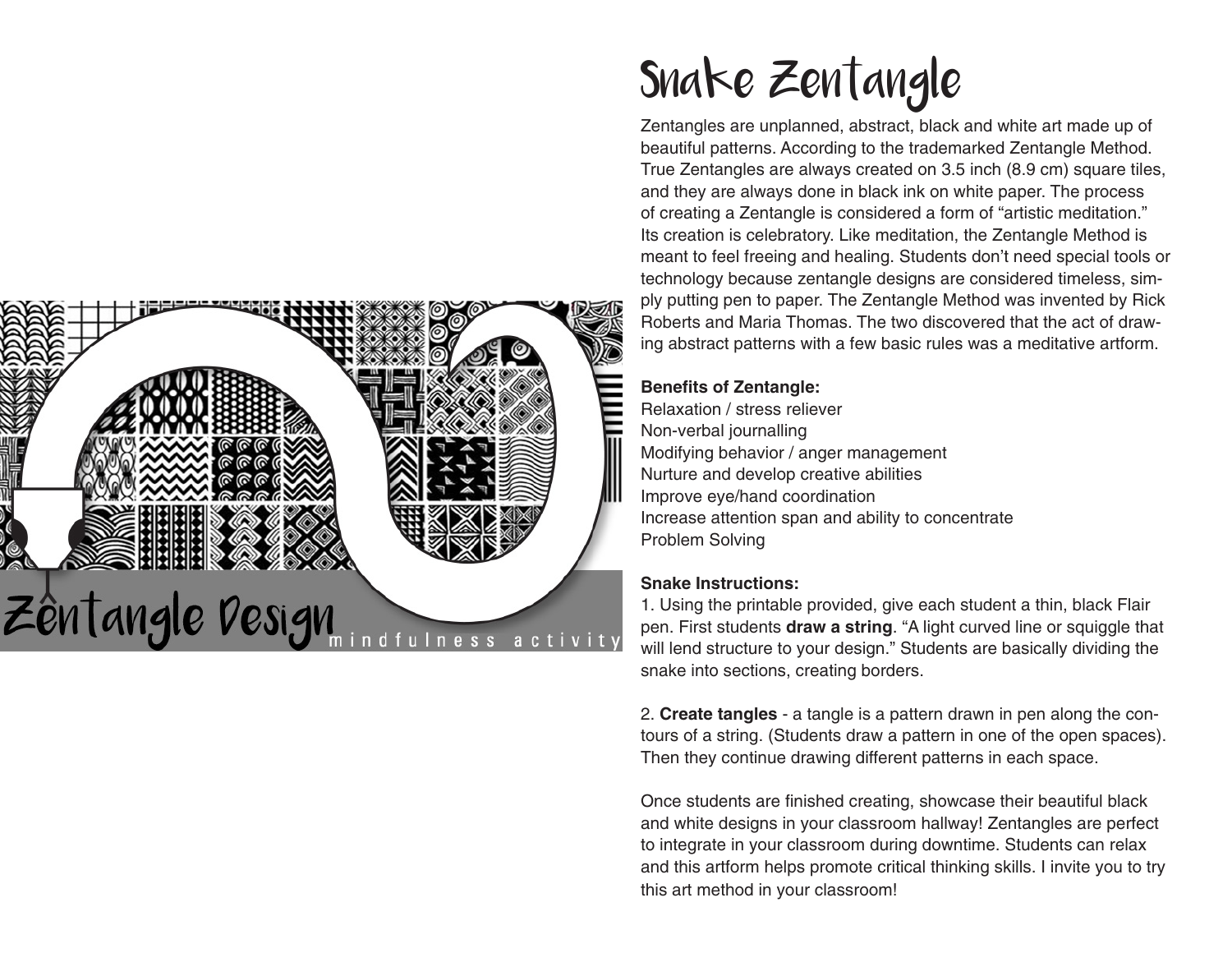

## Snake Zentangle

Zentangles are unplanned, abstract, black and white art made up of beautiful patterns. According to the trademarked Zentangle Method. True Zentangles are always created on 3.5 inch (8.9 cm) square tiles, and they are always done in black ink on white paper. The process of creating a Zentangle is considered a form of "artistic meditation." Its creation is celebratory. Like meditation, the Zentangle Method is meant to feel freeing and healing. Students don't need special tools or technology because zentangle designs are considered timeless, simply putting pen to paper. The Zentangle Method was invented by Rick Roberts and Maria Thomas. The two discovered that the act of drawing abstract patterns with a few basic rules was a meditative artform.

## **Benefits of Zentangle:**

Relaxation / stress reliever Non-verbal journalling Modifying behavior / anger management Nurture and develop creative abilities Improve eye/hand coordination Increase attention span and ability to concentrate Problem Solving

## **Snake Instructions:**

1. Using the printable provided, give each student a thin, black Flair pen. First students **draw a string**. "A light curved line or squiggle that will lend structure to your design." Students are basically dividing the snake into sections, creating borders.

2. **Create tangles** - a tangle is a pattern drawn in pen along the contours of a string. (Students draw a pattern in one of the open spaces). Then they continue drawing different patterns in each space.

Once students are finished creating, showcase their beautiful black and white designs in your classroom hallway! Zentangles are perfect to integrate in your classroom during downtime. Students can relax and this artform helps promote critical thinking skills. I invite you to try this art method in your classroom!